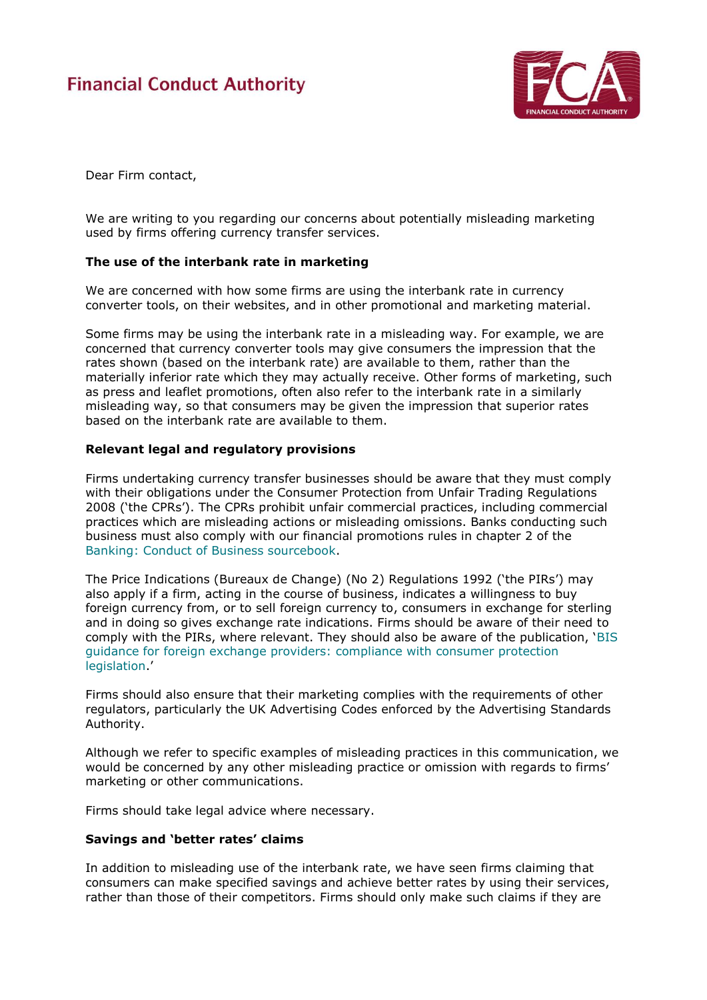# **Financial Conduct Authority**



Dear Firm contact,

We are writing to you regarding our concerns about potentially misleading marketing used by firms offering currency transfer services.

### **The use of the interbank rate in marketing**

We are concerned with how some firms are using the interbank rate in currency converter tools, on their websites, and in other promotional and marketing material.

Some firms may be using the interbank rate in a misleading way. For example, we are concerned that currency converter tools may give consumers the impression that the rates shown (based on the interbank rate) are available to them, rather than the materially inferior rate which they may actually receive. Other forms of marketing, such as press and leaflet promotions, often also refer to the interbank rate in a similarly misleading way, so that consumers may be given the impression that superior rates based on the interbank rate are available to them.

### **Relevant legal and regulatory provisions**

Firms undertaking currency transfer businesses should be aware that they must comply with their obligations under the Consumer Protection from Unfair Trading Regulations 2008 ('the CPRs'). The CPRs prohibit unfair commercial practices, including commercial practices which are misleading actions or misleading omissions. Banks conducting such business must also comply with our financial promotions rules in chapter 2 of the [Banking: Conduct of Business sourcebook.](https://www.handbook.fca.org.uk/handbook/BCOBS/2/?view=chapter)

The Price Indications (Bureaux de Change) (No 2) Regulations 1992 ('the PIRs') may also apply if a firm, acting in the course of business, indicates a willingness to buy foreign currency from, or to sell foreign currency to, consumers in exchange for sterling and in doing so gives exchange rate indications. Firms should be aware of their need to comply with the PIRs, where relevant. They should also be aware of the publication, '[BIS](https://www.gov.uk/government/uploads/system/uploads/attachment_data/file/34599/12-1129-bis-guidance-for-foreign-exchange-providers.pdf)  [guidance for foreign exchange providers: compliance with consumer protection](https://www.gov.uk/government/uploads/system/uploads/attachment_data/file/34599/12-1129-bis-guidance-for-foreign-exchange-providers.pdf)  [legislation](https://www.gov.uk/government/uploads/system/uploads/attachment_data/file/34599/12-1129-bis-guidance-for-foreign-exchange-providers.pdf).'

Firms should also ensure that their marketing complies with the requirements of other regulators, particularly the UK Advertising Codes enforced by the Advertising Standards Authority.

Although we refer to specific examples of misleading practices in this communication, we would be concerned by any other misleading practice or omission with regards to firms' marketing or other communications.

Firms should take legal advice where necessary.

### **Savings and 'better rates' claims**

In addition to misleading use of the interbank rate, we have seen firms claiming that consumers can make specified savings and achieve better rates by using their services, rather than those of their competitors. Firms should only make such claims if they are